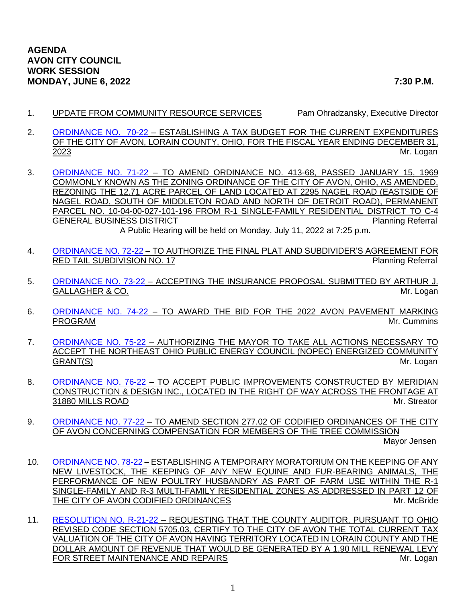1. UPDATE FROM COMMUNITY RESOURCE SERVICES Pam Ohradzansky, Executive Director

- 2. [ORDINANCE NO. 70-22](https://www.cityofavon.com/DocumentCenter/View/7865/Ordinance-No-70-22---Tax-Budget-for-2023) ESTABLISHING A TAX BUDGET FOR THE CURRENT EXPENDITURES OF THE CITY OF AVON, LORAIN COUNTY, OHIO, FOR THE FISCAL YEAR ENDING DECEMBER 31, 2023 Mr. Logan
- 3. [ORDINANCE NO. 71-22](https://www.cityofavon.com/DocumentCenter/View/7875/Ordinance-No-71-22----Rezoning---Isomer---Drug-Mart) TO AMEND ORDINANCE NO. 413-68, PASSED JANUARY 15, 1969 COMMONLY KNOWN AS THE ZONING ORDINANCE OF THE CITY OF AVON, OHIO, AS AMENDED, REZONING THE 12.71 ACRE PARCEL OF LAND LOCATED AT 2295 NAGEL ROAD (EASTSIDE OF NAGEL ROAD, SOUTH OF MIDDLETON ROAD AND NORTH OF DETROIT ROAD), PERMANENT PARCEL NO. 10-04-00-027-101-196 FROM R-1 SINGLE-FAMILY RESIDENTIAL DISTRICT TO C-4 GENERAL BUSINESS DISTRICT **Planning Referral** A Public Hearing will be held on Monday, July 11, 2022 at 7:25 p.m.
- 4. [ORDINANCE NO. 72-22](https://www.cityofavon.com/DocumentCenter/View/7868/Ordinance-No-72-22-Red-Tail-No-17---SDA--PB) TO AUTHORIZE THE FINAL PLAT AND SUBDIVIDER'S AGREEMENT FOR RED TAIL SUBDIVISION NO. 17 Planning Referral
- 5. [ORDINANCE NO. 73-22](https://www.cityofavon.com/DocumentCenter/View/7869/Ordinance-No-73-22---Gallagher---Ins-Proposal) ACCEPTING THE INSURANCE PROPOSAL SUBMITTED BY ARTHUR J. GALLAGHER & CO. **Mr. Logan**
- 6. [ORDINANCE NO. 74-22](https://www.cityofavon.com/DocumentCenter/View/7867/Ordinance-No-74-22-Pavt-Marking-Prog-2022) TO AWARD THE BID FOR THE 2022 AVON PAVEMENT MARKING PROGRAM **Mr. Cummins**
- 7. [ORDINANCE NO. 75-22](https://www.cityofavon.com/DocumentCenter/View/7870/Ordinance-No-75-22----NOPEC-Community-Grant) AUTHORIZING THE MAYOR TO TAKE ALL ACTIONS NECESSARY TO ACCEPT THE NORTHEAST OHIO PUBLIC ENERGY COUNCIL (NOPEC) ENERGIZED COMMUNITY GRANT(S) Mr. Logan
- 8. [ORDINANCE NO. 76-22](https://www.cityofavon.com/DocumentCenter/View/7871/Ordinance-No-76-22---Accept-Improve-Meridian----Mills-Storm-Sewer-Ext) TO ACCEPT PUBLIC IMPROVEMENTS CONSTRUCTED BY MERIDIAN CONSTRUCTION & DESIGN INC., LOCATED IN THE RIGHT OF WAY ACROSS THE FRONTAGE AT 31880 MILLS ROAD Mr. Streator
- 9. [ORDINANCE NO. 77-22](https://www.cityofavon.com/DocumentCenter/View/7872/Ordinance-No-77-22----Amend-27702---Tree-Comn-paydocx) TO AMEND SECTION 277.02 OF CODIFIED ORDINANCES OF THE CITY OF AVON CONCERNING COMPENSATION FOR MEMBERS OF THE TREE COMMISSION

Mayor Jensen

- 10. [ORDINANCE NO. 78-22](https://www.cityofavon.com/DocumentCenter/View/7873/Ordinance-No-78-22---Livestock-Moratorium) ESTABLISHING A TEMPORARY MORATORIUM ON THE KEEPING OF ANY NEW LIVESTOCK, THE KEEPING OF ANY NEW EQUINE AND FUR-BEARING ANIMALS, THE PERFORMANCE OF NEW POULTRY HUSBANDRY AS PART OF FARM USE WITHIN THE R-1 SINGLE-FAMILY AND R-3 MULTI-FAMILY RESIDENTIAL ZONES AS ADDRESSED IN PART 12 OF THE CITY OF AVON CODIFIED ORDINANCES MICHAEL AND MICHAEL MICHAEL MICHAEL MICHAEL MICHAEL MICHAEL MICHAEL MICHAEL MICHAEL MICHAEL MICHAEL MICHAEL MICHAEL MICHAEL MICHAEL MICHAEL MICHAEL MICHAEL MICHAEL MICHAEL MICHAEL MICHA
- 11. [RESOLUTION NO. R-21-22](https://www.cityofavon.com/DocumentCenter/View/7861/Resolution-No-R-21-22---Certify-Tax-Val---Street-Main--Repairs) REQUESTING THAT THE COUNTY AUDITOR, PURSUANT TO OHIO REVISED CODE SECTION 5705.03, CERTIFY TO THE CITY OF AVON THE TOTAL CURRENT TAX VALUATION OF THE CITY OF AVON HAVING TERRITORY LOCATED IN LORAIN COUNTY AND THE DOLLAR AMOUNT OF REVENUE THAT WOULD BE GENERATED BY A 1.90 MILL RENEWAL LEVY FOR STREET MAINTENANCE AND REPAIRS MEASURE AND A STREET MAINTENANCE AND REPAIRS